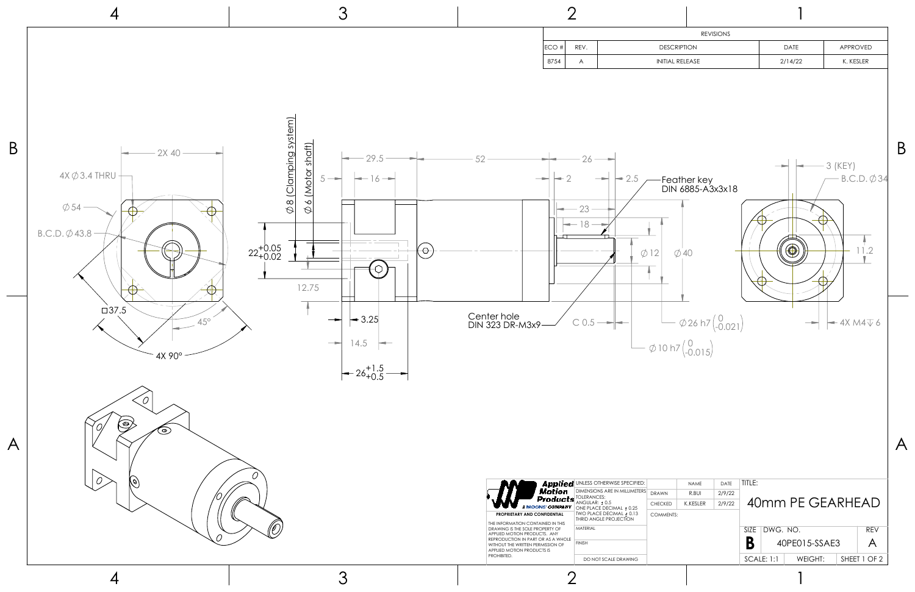